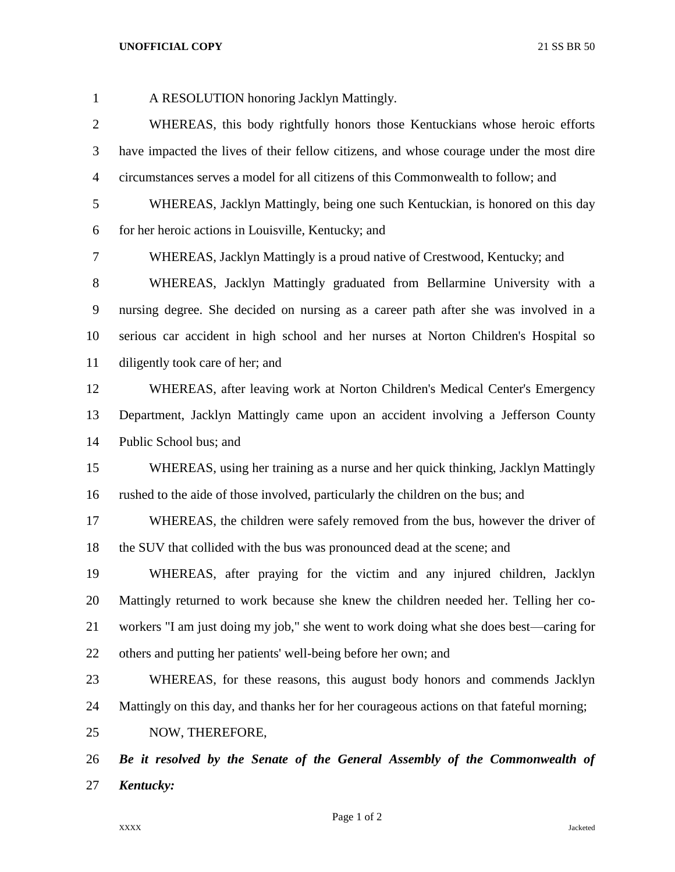## **UNOFFICIAL COPY** 21 SS BR 50

 A RESOLUTION honoring Jacklyn Mattingly. WHEREAS, this body rightfully honors those Kentuckians whose heroic efforts have impacted the lives of their fellow citizens, and whose courage under the most dire circumstances serves a model for all citizens of this Commonwealth to follow; and WHEREAS, Jacklyn Mattingly, being one such Kentuckian, is honored on this day for her heroic actions in Louisville, Kentucky; and WHEREAS, Jacklyn Mattingly is a proud native of Crestwood, Kentucky; and WHEREAS, Jacklyn Mattingly graduated from Bellarmine University with a nursing degree. She decided on nursing as a career path after she was involved in a serious car accident in high school and her nurses at Norton Children's Hospital so diligently took care of her; and WHEREAS, after leaving work at Norton Children's Medical Center's Emergency Department, Jacklyn Mattingly came upon an accident involving a Jefferson County Public School bus; and WHEREAS, using her training as a nurse and her quick thinking, Jacklyn Mattingly rushed to the aide of those involved, particularly the children on the bus; and WHEREAS, the children were safely removed from the bus, however the driver of 18 the SUV that collided with the bus was pronounced dead at the scene; and WHEREAS, after praying for the victim and any injured children, Jacklyn Mattingly returned to work because she knew the children needed her. Telling her co- workers "I am just doing my job," she went to work doing what she does best—caring for others and putting her patients' well-being before her own; and WHEREAS, for these reasons, this august body honors and commends Jacklyn Mattingly on this day, and thanks her for her courageous actions on that fateful morning; NOW, THEREFORE, *Be it resolved by the Senate of the General Assembly of the Commonwealth of Kentucky:*

Page 1 of 2